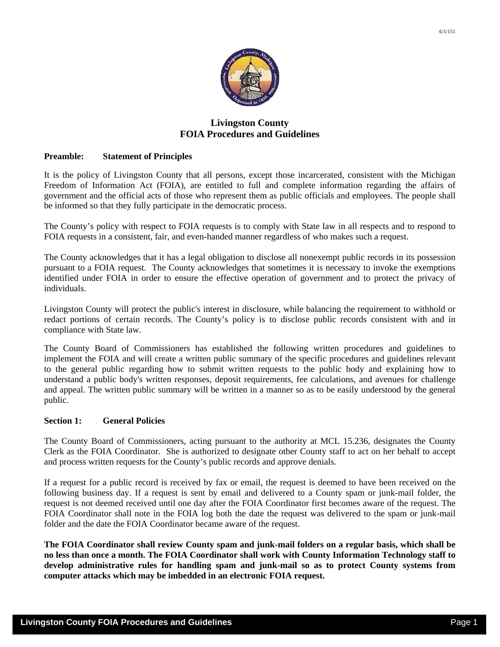

# **Livingston County FOIA Procedures and Guidelines**

# **Preamble: Statement of Principles**

It is the policy of Livingston County that all persons, except those incarcerated, consistent with the Michigan Freedom of Information Act (FOIA), are entitled to full and complete information regarding the affairs of government and the official acts of those who represent them as public officials and employees. The people shall be informed so that they fully participate in the democratic process.

The County's policy with respect to FOIA requests is to comply with State law in all respects and to respond to FOIA requests in a consistent, fair, and even-handed manner regardless of who makes such a request.

The County acknowledges that it has a legal obligation to disclose all nonexempt public records in its possession pursuant to a FOIA request. The County acknowledges that sometimes it is necessary to invoke the exemptions identified under FOIA in order to ensure the effective operation of government and to protect the privacy of individuals.

Livingston County will protect the public's interest in disclosure, while balancing the requirement to withhold or redact portions of certain records. The County's policy is to disclose public records consistent with and in compliance with State law.

The County Board of Commissioners has established the following written procedures and guidelines to implement the FOIA and will create a written public summary of the specific procedures and guidelines relevant to the general public regarding how to submit written requests to the public body and explaining how to understand a public body's written responses, deposit requirements, fee calculations, and avenues for challenge and appeal. The written public summary will be written in a manner so as to be easily understood by the general public.

# **Section 1: General Policies**

The County Board of Commissioners, acting pursuant to the authority at MCL 15.236, designates the County Clerk as the FOIA Coordinator. She is authorized to designate other County staff to act on her behalf to accept and process written requests for the County's public records and approve denials.

If a request for a public record is received by fax or email, the request is deemed to have been received on the following business day. If a request is sent by email and delivered to a County spam or junk-mail folder, the request is not deemed received until one day after the FOIA Coordinator first becomes aware of the request. The FOIA Coordinator shall note in the FOIA log both the date the request was delivered to the spam or junk-mail folder and the date the FOIA Coordinator became aware of the request.

**The FOIA Coordinator shall review County spam and junk-mail folders on a regular basis, which shall be no less than once a month. The FOIA Coordinator shall work with County Information Technology staff to develop administrative rules for handling spam and junk-mail so as to protect County systems from computer attacks which may be imbedded in an electronic FOIA request.**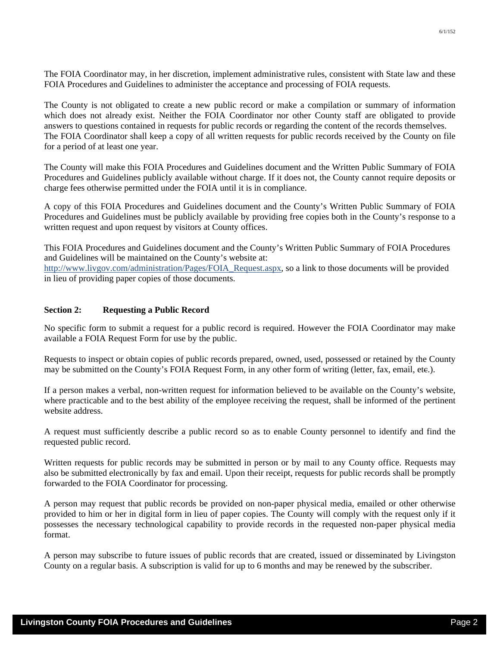The FOIA Coordinator may, in her discretion, implement administrative rules, consistent with State law and these FOIA Procedures and Guidelines to administer the acceptance and processing of FOIA requests.

The County is not obligated to create a new public record or make a compilation or summary of information which does not already exist. Neither the FOIA Coordinator nor other County staff are obligated to provide answers to questions contained in requests for public records or regarding the content of the records themselves. The FOIA Coordinator shall keep a copy of all written requests for public records received by the County on file for a period of at least one year.

The County will make this FOIA Procedures and Guidelines document and the Written Public Summary of FOIA Procedures and Guidelines publicly available without charge. If it does not, the County cannot require deposits or charge fees otherwise permitted under the FOIA until it is in compliance.

A copy of this FOIA Procedures and Guidelines document and the County's Written Public Summary of FOIA Procedures and Guidelines must be publicly available by providing free copies both in the County's response to a written request and upon request by visitors at County offices.

This FOIA Procedures and Guidelines document and the County's Written Public Summary of FOIA Procedures and Guidelines will be maintained on the County's website at:

http://www.livgov.com/administration/Pages/FOIA\_Request.aspx, so a link to those documents will be provided in lieu of providing paper copies of those documents.

## Section 2: Requesting a Public Record

No specific form to submit a request for a public record is required. However the FOIA Coordinator may make available a FOIA Request Form for use by the public.

Requests to inspect or obtain copies of public records prepared, owned, used, possessed or retained by the County may be submitted on the County's FOIA Request Form, in any other form of writing (letter, fax, email, etc.).

If a person makes a verbal, non-written request for information believed to be available on the County's website, where practicable and to the best ability of the employee receiving the request, shall be informed of the pertinent website address.

A request must sufficiently describe a public record so as to enable County personnel to identify and find the requested public record.

Written requests for public records may be submitted in person or by mail to any County office. Requests may also be submitted electronically by fax and email. Upon their receipt, requests for public records shall be promptly forwarded to the FOIA Coordinator for processing.

A person may request that public records be provided on non-paper physical media, emailed or other otherwise provided to him or her in digital form in lieu of paper copies. The County will comply with the request only if it possesses the necessary technological capability to provide records in the requested non-paper physical media format.

A person may subscribe to future issues of public records that are created, issued or disseminated by Livingston County on a regular basis. A subscription is valid for up to 6 months and may be renewed by the subscriber.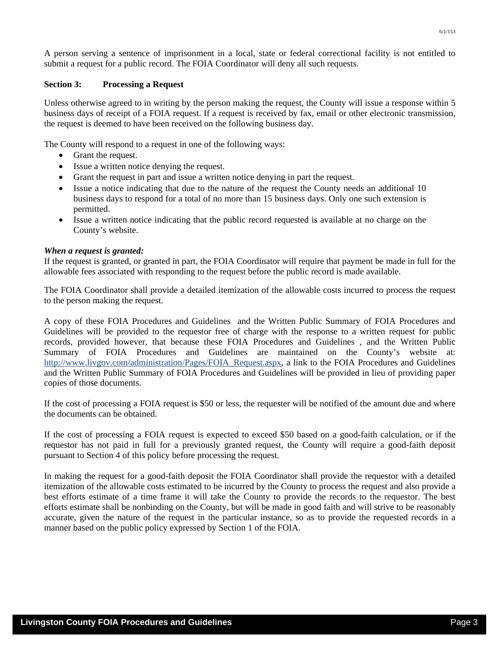A person serving a sentence of imprisonment in a local, state or federal correctional facility is not entitled to submit a request for a public record. The FOIA Coordinator will deny all such requests.

# **Section 3: Processing a Request**

Unless otherwise agreed to in writing by the person making the request, the County will issue a response within 5 business days of receipt of a FOIA request. If a request is received by fax, email or other electronic transmission, the request is deemed to have been received on the following business day.

The County will respond to a request in one of the following ways:

- Grant the request.
- Issue a written notice denying the request.
- Grant the request in part and issue a written notice denying in part the request.
- Issue a notice indicating that due to the nature of the request the County needs an additional 10 business days to respond for a total of no more than 15 business days. Only one such extension is permitted.
- Issue a written notice indicating that the public record requested is available at no charge on the County's website.

# *When a request is granted:*

If the request is granted, or granted in part, the FOIA Coordinator will require that payment be made in full for the allowable fees associated with responding to the request before the public record is made available.

The FOIA Coordinator shall provide a detailed itemization of the allowable costs incurred to process the request to the person making the request.

A copy of these FOIA Procedures and Guidelines and the Written Public Summary of FOIA Procedures and Guidelines will be provided to the requestor free of charge with the response to a written request for public records, provided however, that because these FOIA Procedures and Guidelines , and the Written Public Summary of FOIA Procedures and Guidelines are maintained on the County's website at: http://www.livgov.com/administration/Pages/FOIA\_Request.aspx, a link to the FOIA Procedures and Guidelines and the Written Public Summary of FOIA Procedures and Guidelines will be provided in lieu of providing paper copies of those documents.

If the cost of processing a FOIA request is \$50 or less, the requester will be notified of the amount due and where the documents can be obtained.

If the cost of processing a FOIA request is expected to exceed \$50 based on a good-faith calculation, or if the requestor has not paid in full for a previously granted request, the County will require a good-faith deposit pursuant to Section 4 of this policy before processing the request.

In making the request for a good-faith deposit the FOIA Coordinator shall provide the requestor with a detailed itemization of the allowable costs estimated to be incurred by the County to process the request and also provide a best efforts estimate of a time frame it will take the County to provide the records to the requestor. The best efforts estimate shall be nonbinding on the County, but will be made in good faith and will strive to be reasonably accurate, given the nature of the request in the particular instance, so as to provide the requested records in a manner based on the public policy expressed by Section 1 of the FOIA.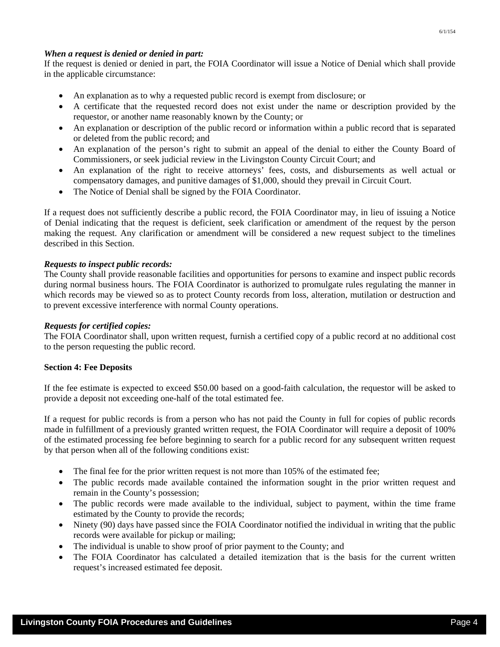# *When a request is denied or denied in part:*

If the request is denied or denied in part, the FOIA Coordinator will issue a Notice of Denial which shall provide in the applicable circumstance:

- An explanation as to why a requested public record is exempt from disclosure; or
- A certificate that the requested record does not exist under the name or description provided by the requestor, or another name reasonably known by the County; or
- An explanation or description of the public record or information within a public record that is separated or deleted from the public record; and
- An explanation of the person's right to submit an appeal of the denial to either the County Board of Commissioners, or seek judicial review in the Livingston County Circuit Court; and
- An explanation of the right to receive attorneys' fees, costs, and disbursements as well actual or compensatory damages, and punitive damages of \$1,000, should they prevail in Circuit Court.
- The Notice of Denial shall be signed by the FOIA Coordinator.

If a request does not sufficiently describe a public record, the FOIA Coordinator may, in lieu of issuing a Notice of Denial indicating that the request is deficient, seek clarification or amendment of the request by the person making the request. Any clarification or amendment will be considered a new request subject to the timelines described in this Section.

## *Requests to inspect public records:*

The County shall provide reasonable facilities and opportunities for persons to examine and inspect public records during normal business hours. The FOIA Coordinator is authorized to promulgate rules regulating the manner in which records may be viewed so as to protect County records from loss, alteration, mutilation or destruction and to prevent excessive interference with normal County operations.

## *Requests for certified copies:*

The FOIA Coordinator shall, upon written request, furnish a certified copy of a public record at no additional cost to the person requesting the public record.

### **Section 4: Fee Deposits**

If the fee estimate is expected to exceed \$50.00 based on a good-faith calculation, the requestor will be asked to provide a deposit not exceeding one-half of the total estimated fee.

If a request for public records is from a person who has not paid the County in full for copies of public records made in fulfillment of a previously granted written request, the FOIA Coordinator will require a deposit of 100% of the estimated processing fee before beginning to search for a public record for any subsequent written request by that person when all of the following conditions exist:

- The final fee for the prior written request is not more than 105% of the estimated fee;
- The public records made available contained the information sought in the prior written request and remain in the County's possession;
- The public records were made available to the individual, subject to payment, within the time frame estimated by the County to provide the records;
- Ninety (90) days have passed since the FOIA Coordinator notified the individual in writing that the public records were available for pickup or mailing;
- The individual is unable to show proof of prior payment to the County; and
- The FOIA Coordinator has calculated a detailed itemization that is the basis for the current written request's increased estimated fee deposit.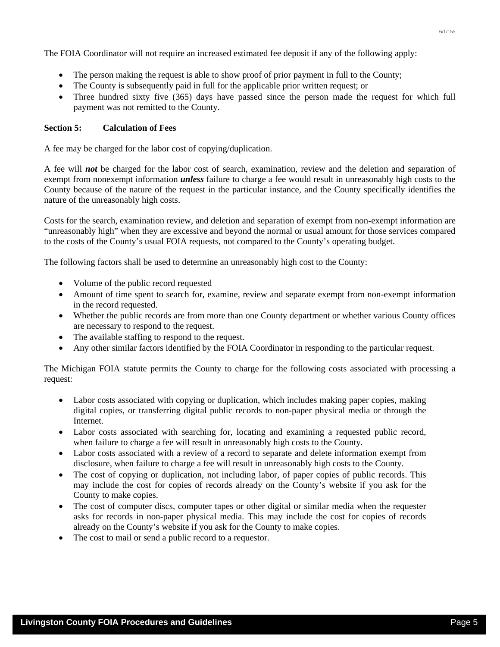The FOIA Coordinator will not require an increased estimated fee deposit if any of the following apply:

- The person making the request is able to show proof of prior payment in full to the County;
- The County is subsequently paid in full for the applicable prior written request; or
- Three hundred sixty five (365) days have passed since the person made the request for which full payment was not remitted to the County.

# **Section 5: Calculation of Fees**

A fee may be charged for the labor cost of copying/duplication.

A fee will *not* be charged for the labor cost of search, examination, review and the deletion and separation of exempt from nonexempt information *unless* failure to charge a fee would result in unreasonably high costs to the County because of the nature of the request in the particular instance, and the County specifically identifies the nature of the unreasonably high costs.

Costs for the search, examination review, and deletion and separation of exempt from non-exempt information are "unreasonably high" when they are excessive and beyond the normal or usual amount for those services compared to the costs of the County's usual FOIA requests, not compared to the County's operating budget.

The following factors shall be used to determine an unreasonably high cost to the County:

- Volume of the public record requested
- Amount of time spent to search for, examine, review and separate exempt from non-exempt information in the record requested.
- Whether the public records are from more than one County department or whether various County offices are necessary to respond to the request.
- The available staffing to respond to the request.
- Any other similar factors identified by the FOIA Coordinator in responding to the particular request.

The Michigan FOIA statute permits the County to charge for the following costs associated with processing a request:

- Labor costs associated with copying or duplication, which includes making paper copies, making digital copies, or transferring digital public records to non-paper physical media or through the Internet.
- Labor costs associated with searching for, locating and examining a requested public record, when failure to charge a fee will result in unreasonably high costs to the County.
- Labor costs associated with a review of a record to separate and delete information exempt from disclosure, when failure to charge a fee will result in unreasonably high costs to the County.
- The cost of copying or duplication, not including labor, of paper copies of public records. This may include the cost for copies of records already on the County's website if you ask for the County to make copies.
- The cost of computer discs, computer tapes or other digital or similar media when the requester asks for records in non-paper physical media. This may include the cost for copies of records already on the County's website if you ask for the County to make copies.
- The cost to mail or send a public record to a requestor.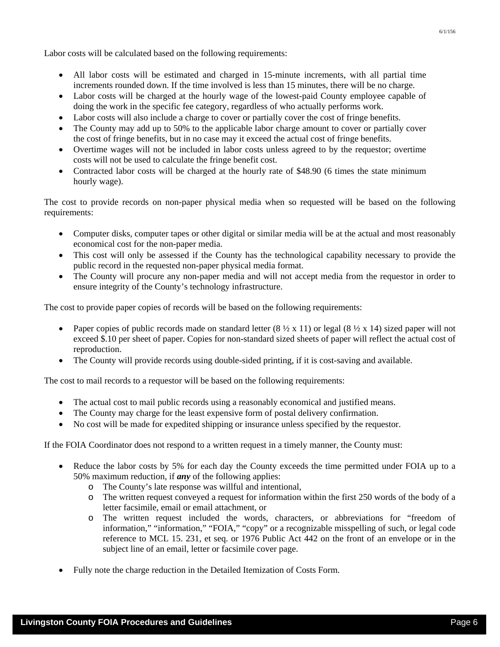Labor costs will be calculated based on the following requirements:

- All labor costs will be estimated and charged in 15-minute increments, with all partial time increments rounded down. If the time involved is less than 15 minutes, there will be no charge.
- Labor costs will be charged at the hourly wage of the lowest-paid County employee capable of doing the work in the specific fee category, regardless of who actually performs work.
- Labor costs will also include a charge to cover or partially cover the cost of fringe benefits.
- The County may add up to 50% to the applicable labor charge amount to cover or partially cover the cost of fringe benefits, but in no case may it exceed the actual cost of fringe benefits.
- Overtime wages will not be included in labor costs unless agreed to by the requestor; overtime costs will not be used to calculate the fringe benefit cost.
- Contracted labor costs will be charged at the hourly rate of \$48.90 (6 times the state minimum hourly wage).

The cost to provide records on non-paper physical media when so requested will be based on the following requirements:

- Computer disks, computer tapes or other digital or similar media will be at the actual and most reasonably economical cost for the non-paper media.
- This cost will only be assessed if the County has the technological capability necessary to provide the public record in the requested non-paper physical media format.
- The County will procure any non-paper media and will not accept media from the requestor in order to ensure integrity of the County's technology infrastructure.

The cost to provide paper copies of records will be based on the following requirements:

- Paper copies of public records made on standard letter  $(8 \frac{1}{2} \times 11)$  or legal  $(8 \frac{1}{2} \times 14)$  sized paper will not exceed \$.10 per sheet of paper. Copies for non-standard sized sheets of paper will reflect the actual cost of reproduction.
- The County will provide records using double-sided printing, if it is cost-saving and available.

The cost to mail records to a requestor will be based on the following requirements:

- The actual cost to mail public records using a reasonably economical and justified means.
- The County may charge for the least expensive form of postal delivery confirmation.
- No cost will be made for expedited shipping or insurance unless specified by the requestor.

If the FOIA Coordinator does not respond to a written request in a timely manner, the County must:

- Reduce the labor costs by 5% for each day the County exceeds the time permitted under FOIA up to a 50% maximum reduction, if *any* of the following applies:
	- o The County's late response was willful and intentional,
	- o The written request conveyed a request for information within the first 250 words of the body of a letter facsimile, email or email attachment, or
	- o The written request included the words, characters, or abbreviations for "freedom of information," "information," "FOIA," "copy" or a recognizable misspelling of such, or legal code reference to MCL 15. 231, et seq. or 1976 Public Act 442 on the front of an envelope or in the subject line of an email, letter or facsimile cover page.
- Fully note the charge reduction in the Detailed Itemization of Costs Form.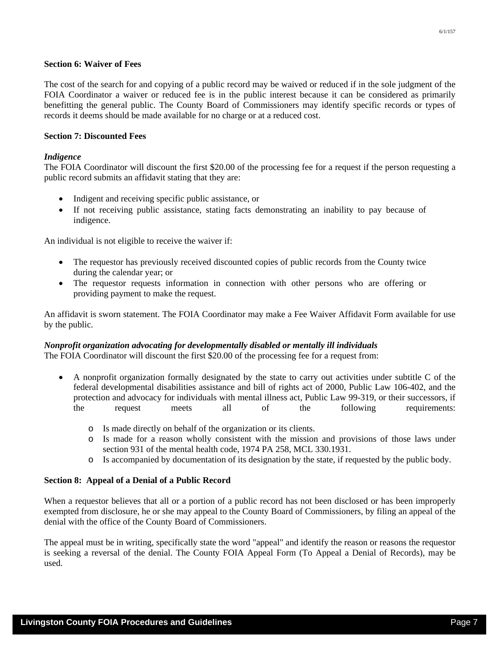## **Section 6: Waiver of Fees**

The cost of the search for and copying of a public record may be waived or reduced if in the sole judgment of the FOIA Coordinator a waiver or reduced fee is in the public interest because it can be considered as primarily benefitting the general public. The County Board of Commissioners may identify specific records or types of records it deems should be made available for no charge or at a reduced cost.

## **Section 7: Discounted Fees**

### *Indigence*

The FOIA Coordinator will discount the first \$20.00 of the processing fee for a request if the person requesting a public record submits an affidavit stating that they are:

- Indigent and receiving specific public assistance, or
- If not receiving public assistance, stating facts demonstrating an inability to pay because of indigence.

An individual is not eligible to receive the waiver if:

- The requestor has previously received discounted copies of public records from the County twice during the calendar year; or
- The requestor requests information in connection with other persons who are offering or providing payment to make the request.

An affidavit is sworn statement. The FOIA Coordinator may make a Fee Waiver Affidavit Form available for use by the public.

### *Nonprofit organization advocating for developmentally disabled or mentally ill individuals*

The FOIA Coordinator will discount the first \$20.00 of the processing fee for a request from:

- A nonprofit organization formally designated by the state to carry out activities under subtitle C of the federal developmental disabilities assistance and bill of rights act of 2000, Public Law 106-402, and the protection and advocacy for individuals with mental illness act, Public Law 99-319, or their successors, if the request meets all of the following requirements:
	- o Is made directly on behalf of the organization or its clients.
	- o Is made for a reason wholly consistent with the mission and provisions of those laws under section 931 of the mental health code, 1974 PA 258, MCL 330.1931.
	- o Is accompanied by documentation of its designation by the state, if requested by the public body.

### **Section 8: Appeal of a Denial of a Public Record**

When a requestor believes that all or a portion of a public record has not been disclosed or has been improperly exempted from disclosure, he or she may appeal to the County Board of Commissioners, by filing an appeal of the denial with the office of the County Board of Commissioners.

The appeal must be in writing, specifically state the word "appeal" and identify the reason or reasons the requestor is seeking a reversal of the denial. The County FOIA Appeal Form (To Appeal a Denial of Records), may be used.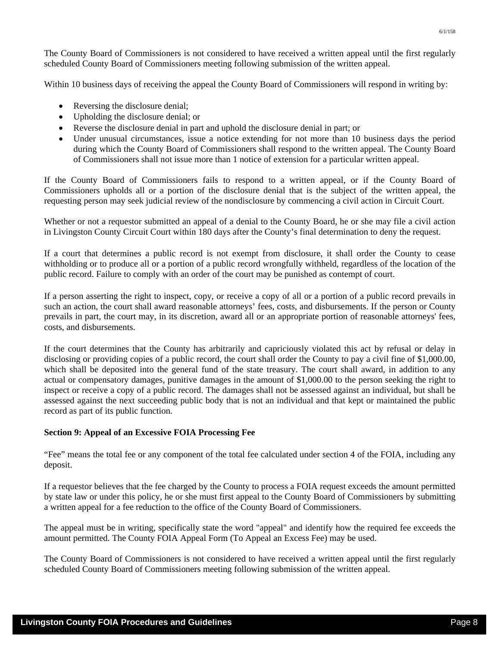The County Board of Commissioners is not considered to have received a written appeal until the first regularly scheduled County Board of Commissioners meeting following submission of the written appeal.

Within 10 business days of receiving the appeal the County Board of Commissioners will respond in writing by:

- Reversing the disclosure denial;
- Upholding the disclosure denial; or
- Reverse the disclosure denial in part and uphold the disclosure denial in part; or
- Under unusual circumstances, issue a notice extending for not more than 10 business days the period during which the County Board of Commissioners shall respond to the written appeal. The County Board of Commissioners shall not issue more than 1 notice of extension for a particular written appeal.

If the County Board of Commissioners fails to respond to a written appeal, or if the County Board of Commissioners upholds all or a portion of the disclosure denial that is the subject of the written appeal, the requesting person may seek judicial review of the nondisclosure by commencing a civil action in Circuit Court.

Whether or not a requestor submitted an appeal of a denial to the County Board, he or she may file a civil action in Livingston County Circuit Court within 180 days after the County's final determination to deny the request.

If a court that determines a public record is not exempt from disclosure, it shall order the County to cease withholding or to produce all or a portion of a public record wrongfully withheld, regardless of the location of the public record. Failure to comply with an order of the court may be punished as contempt of court.

If a person asserting the right to inspect, copy, or receive a copy of all or a portion of a public record prevails in such an action, the court shall award reasonable attorneys' fees, costs, and disbursements. If the person or County prevails in part, the court may, in its discretion, award all or an appropriate portion of reasonable attorneys' fees, costs, and disbursements.

If the court determines that the County has arbitrarily and capriciously violated this act by refusal or delay in disclosing or providing copies of a public record, the court shall order the County to pay a civil fine of \$1,000.00, which shall be deposited into the general fund of the state treasury. The court shall award, in addition to any actual or compensatory damages, punitive damages in the amount of \$1,000.00 to the person seeking the right to inspect or receive a copy of a public record. The damages shall not be assessed against an individual, but shall be assessed against the next succeeding public body that is not an individual and that kept or maintained the public record as part of its public function.

### **Section 9: Appeal of an Excessive FOIA Processing Fee**

"Fee" means the total fee or any component of the total fee calculated under section 4 of the FOIA, including any deposit.

If a requestor believes that the fee charged by the County to process a FOIA request exceeds the amount permitted by state law or under this policy, he or she must first appeal to the County Board of Commissioners by submitting a written appeal for a fee reduction to the office of the County Board of Commissioners.

The appeal must be in writing, specifically state the word "appeal" and identify how the required fee exceeds the amount permitted. The County FOIA Appeal Form (To Appeal an Excess Fee) may be used.

The County Board of Commissioners is not considered to have received a written appeal until the first regularly scheduled County Board of Commissioners meeting following submission of the written appeal.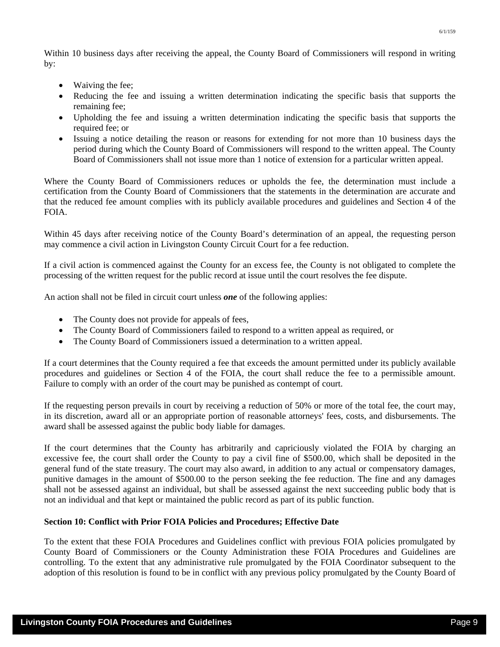6/1/159

Within 10 business days after receiving the appeal, the County Board of Commissioners will respond in writing by:

- Waiving the fee;
- Reducing the fee and issuing a written determination indicating the specific basis that supports the remaining fee;
- Upholding the fee and issuing a written determination indicating the specific basis that supports the required fee; or
- Issuing a notice detailing the reason or reasons for extending for not more than 10 business days the period during which the County Board of Commissioners will respond to the written appeal. The County Board of Commissioners shall not issue more than 1 notice of extension for a particular written appeal.

Where the County Board of Commissioners reduces or upholds the fee, the determination must include a certification from the County Board of Commissioners that the statements in the determination are accurate and that the reduced fee amount complies with its publicly available procedures and guidelines and Section 4 of the FOIA.

Within 45 days after receiving notice of the County Board's determination of an appeal, the requesting person may commence a civil action in Livingston County Circuit Court for a fee reduction.

If a civil action is commenced against the County for an excess fee, the County is not obligated to complete the processing of the written request for the public record at issue until the court resolves the fee dispute.

An action shall not be filed in circuit court unless *one* of the following applies:

- The County does not provide for appeals of fees,
- The County Board of Commissioners failed to respond to a written appeal as required, or
- The County Board of Commissioners issued a determination to a written appeal.

If a court determines that the County required a fee that exceeds the amount permitted under its publicly available procedures and guidelines or Section 4 of the FOIA, the court shall reduce the fee to a permissible amount. Failure to comply with an order of the court may be punished as contempt of court.

If the requesting person prevails in court by receiving a reduction of 50% or more of the total fee, the court may, in its discretion, award all or an appropriate portion of reasonable attorneys' fees, costs, and disbursements. The award shall be assessed against the public body liable for damages.

If the court determines that the County has arbitrarily and capriciously violated the FOIA by charging an excessive fee, the court shall order the County to pay a civil fine of \$500.00, which shall be deposited in the general fund of the state treasury. The court may also award, in addition to any actual or compensatory damages, punitive damages in the amount of \$500.00 to the person seeking the fee reduction. The fine and any damages shall not be assessed against an individual, but shall be assessed against the next succeeding public body that is not an individual and that kept or maintained the public record as part of its public function.

# **Section 10: Conflict with Prior FOIA Policies and Procedures; Effective Date**

To the extent that these FOIA Procedures and Guidelines conflict with previous FOIA policies promulgated by County Board of Commissioners or the County Administration these FOIA Procedures and Guidelines are controlling. To the extent that any administrative rule promulgated by the FOIA Coordinator subsequent to the adoption of this resolution is found to be in conflict with any previous policy promulgated by the County Board of